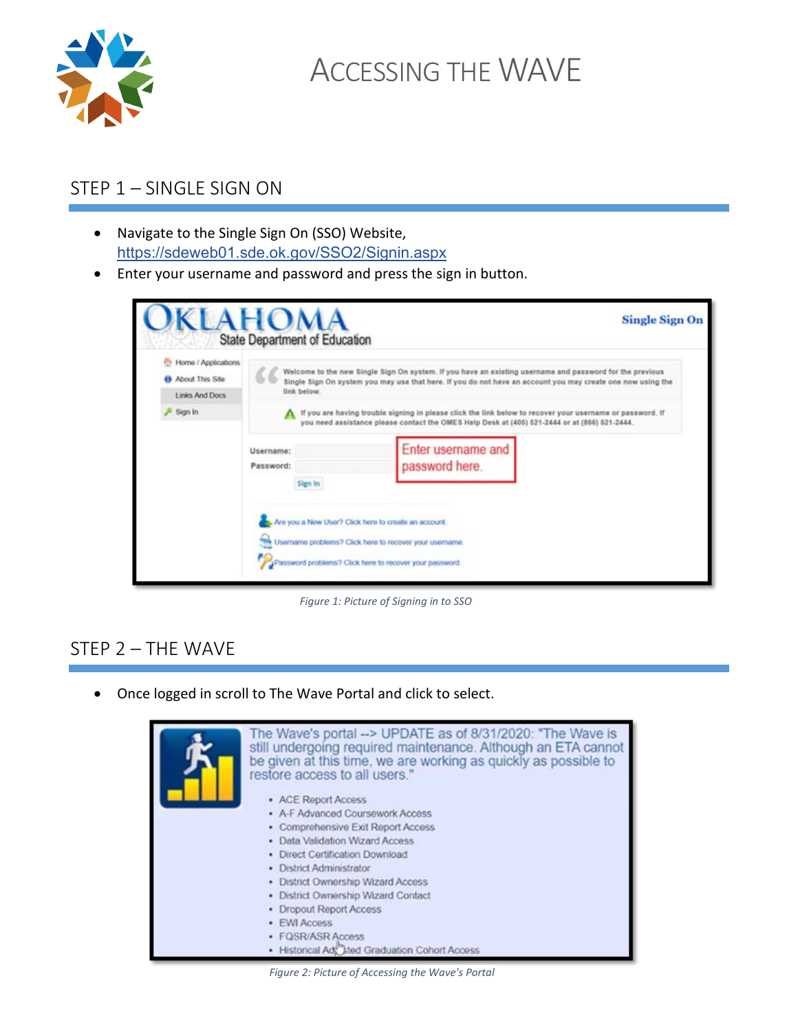

ACCESSING THE WAVE

## STEP 1 – SINGLE SIGN ON

- Navigate to the Single Sign On (SSO) Website, <https://sdeweb01.sde.ok.gov/SSO2/Signin.aspx>
- Enter your username and password and press the sign in button.

|                                                                   | <b>KLAHOMA</b><br>State Department of Education | <b>Single Sign On</b>                                                                                                                                                                                                   |
|-------------------------------------------------------------------|-------------------------------------------------|-------------------------------------------------------------------------------------------------------------------------------------------------------------------------------------------------------------------------|
| Home / Applications<br><b>B</b> About This Site<br>Links And Docs | link below.                                     | Welcome to the new Single Sign On system. If you have an existing username and password for the previous<br>Single Sign On system you may use that here. If you do not have an account you may create one now using the |
| Sign In                                                           |                                                 | If you are having trouble signing in please click the link below to recover your username or password. If<br>you need assistance please contact the OMES Help Desk at (405) 521-2444 or at (866) 521-2444.              |
|                                                                   | Username:<br>Password:<br>Sign In               | Enter username and<br>password here.                                                                                                                                                                                    |
|                                                                   |                                                 | Are you a New User? Click here to create an account.<br>Username problems? Click here to recover your username.<br>Password problems? Click here to recover your password.                                              |

*Figure 1: Picture of Signing in to SSO*

## STEP 2 – THE WAVE

• Once logged in scroll to The Wave Portal and click to select.



*Figure 2: Picture of Accessing the Wave's Portal*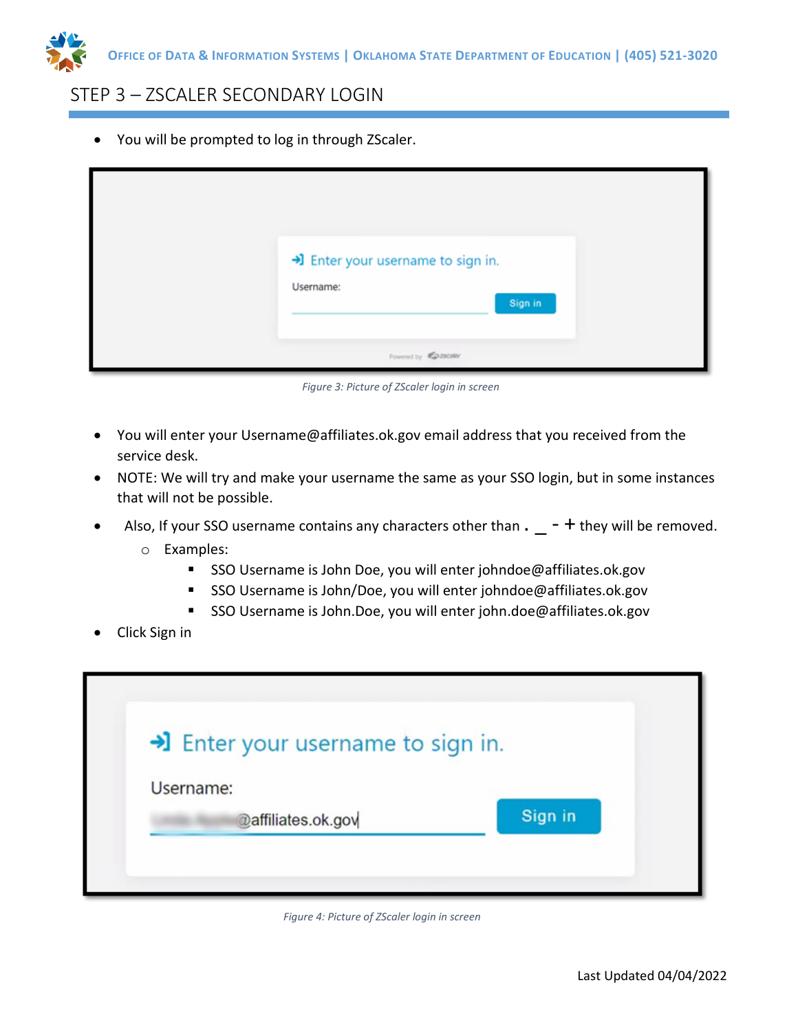

#### STEP 3 – ZSCALER SECONDARY LOGIN

• You will be prompted to log in through ZScaler.

| > Enter your username to sign in.<br>Username:<br>Sign in |
|-----------------------------------------------------------|
| Fowered by Casscaler                                      |

*Figure 3: Picture of ZScaler login in screen*

- You will enter your Username@affiliates.ok.gov email address that you received from the service desk.
- NOTE: We will try and make your username the same as your SSO login, but in some instances that will not be possible.
- Also, If your SSO username contains any characters other than  $\cdot$   $-$  + they will be removed.
	- o Examples:
		- SSO Username is John Doe, you will enter johndoe@affiliates.ok.gov
		- SSO Username is John/Doe, you will enter johndoe@affiliates.ok.gov
		- SSO Username is John.Doe, you will enter john.doe@affiliates.ok.gov
- Click Sign in

| >I Enter your username to sign in. |         |
|------------------------------------|---------|
| Username:                          |         |
| @affiliates.ok.gov                 | Sign in |

*Figure 4: Picture of ZScaler login in screen*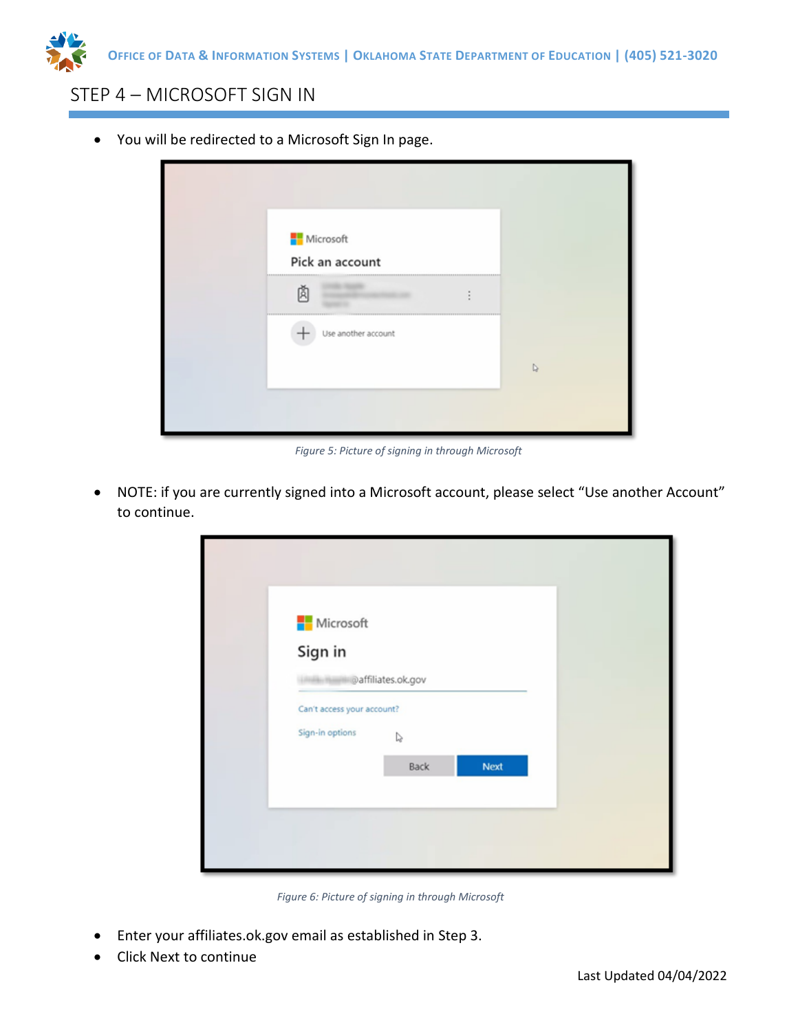

### STEP 4 – MICROSOFT SIGN IN

• You will be redirected to a Microsoft Sign In page.

| Microsoft<br>Pick an account        |  |
|-------------------------------------|--|
| 333333333333333333333333333333<br>属 |  |
| Use another account                 |  |
|                                     |  |
|                                     |  |

*Figure 5: Picture of signing in through Microsoft*

• NOTE: if you are currently signed into a Microsoft account, please select "Use another Account" to continue.

| Microsoft                  |      |      |  |
|----------------------------|------|------|--|
| Sign in                    |      |      |  |
| affiliates.ok.gov          |      |      |  |
| Can't access your account? |      |      |  |
| Sign-in options            | r,   |      |  |
|                            | Back | Next |  |

*Figure 6: Picture of signing in through Microsoft*

- Enter your affiliates.ok.gov email as established in Step 3.
- Click Next to continue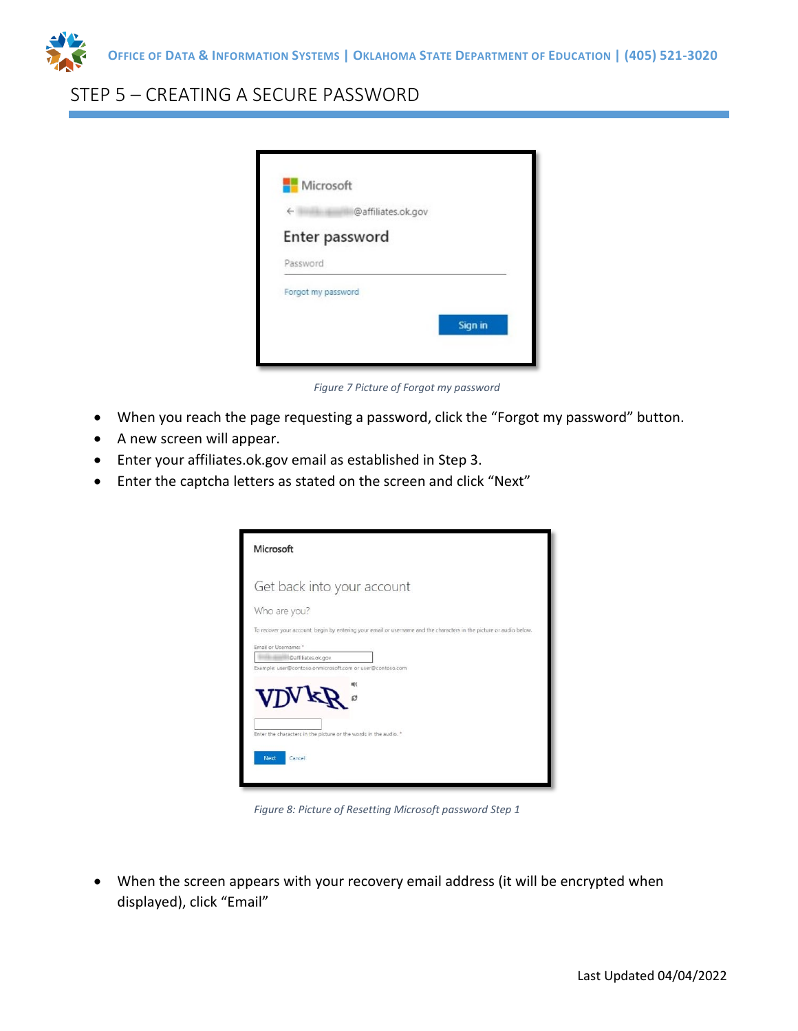

## STEP 5 – CREATING A SECURE PASSWORD

| €                  | @affiliates.ok.gov |         |
|--------------------|--------------------|---------|
| Enter password     |                    |         |
| Password           |                    |         |
| Forgot my password |                    |         |
|                    |                    | Sign in |

*Figure 7 Picture of Forgot my password*

- When you reach the page requesting a password, click the "Forgot my password" button.
- A new screen will appear.
- Enter your affiliates.ok.gov email as established in Step 3.
- Enter the captcha letters as stated on the screen and click "Next"

| Microsoft                                                                                                          |
|--------------------------------------------------------------------------------------------------------------------|
| Get back into your account                                                                                         |
| Who are you?                                                                                                       |
| To recover your account, begin by entering your email or usemame and the characters in the picture or audio below. |
| Email or Username: "                                                                                               |
| @affiliates.ok.gov                                                                                                 |
| Example: user@contoso.onmicrosoft.com or user@contoso.com<br>$\mathbf{V}\mathbf{D}\mathbf{V}\mathbf{k}$            |
| Enter the characters in the picture or the words in the audio. *<br>Next<br>Cancel                                 |

*Figure 8: Picture of Resetting Microsoft password Step 1* 

• When the screen appears with your recovery email address (it will be encrypted when displayed), click "Email"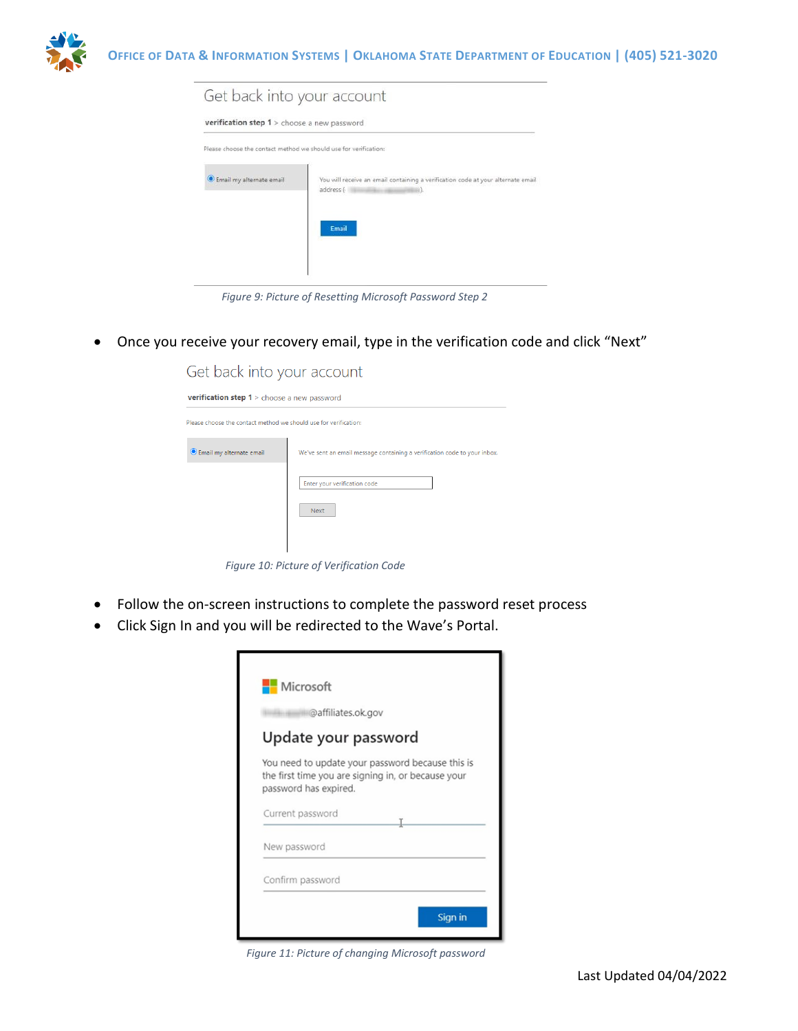

| Get back into your account                                       |                                                                                                                |
|------------------------------------------------------------------|----------------------------------------------------------------------------------------------------------------|
| verification step 1 > choose a new password                      |                                                                                                                |
| Please choose the contact method we should use for verification: |                                                                                                                |
| Email my alternate email                                         | You will receive an email containing a verification code at your alternate email<br>address (<br>88).<br>Email |

*Figure 9: Picture of Resetting Microsoft Password Step 2*

• Once you receive your recovery email, type in the verification code and click "Next"

| Get back into your account                                       |                                                                                                                          |
|------------------------------------------------------------------|--------------------------------------------------------------------------------------------------------------------------|
| <b>verification step 1</b> > choose a new password               |                                                                                                                          |
| Please choose the contact method we should use for verification: |                                                                                                                          |
| <b>O</b> Email my alternate email                                | We've sent an email message containing a verification code to your inbox.<br>Enter your verification code<br><b>Next</b> |

*Figure 10: Picture of Verification Code*

- Follow the on-screen instructions to complete the password reset process
- Click Sign In and you will be redirected to the Wave's Portal.

|                                           | @affiliates.ok.gov                                                                                     |
|-------------------------------------------|--------------------------------------------------------------------------------------------------------|
| Update your password                      |                                                                                                        |
|                                           | You need to update your password because this is<br>the first time you are signing in, or because your |
|                                           |                                                                                                        |
| password has expired.<br>Current password |                                                                                                        |
| New password                              |                                                                                                        |

*Figure 11: Picture of changing Microsoft password*